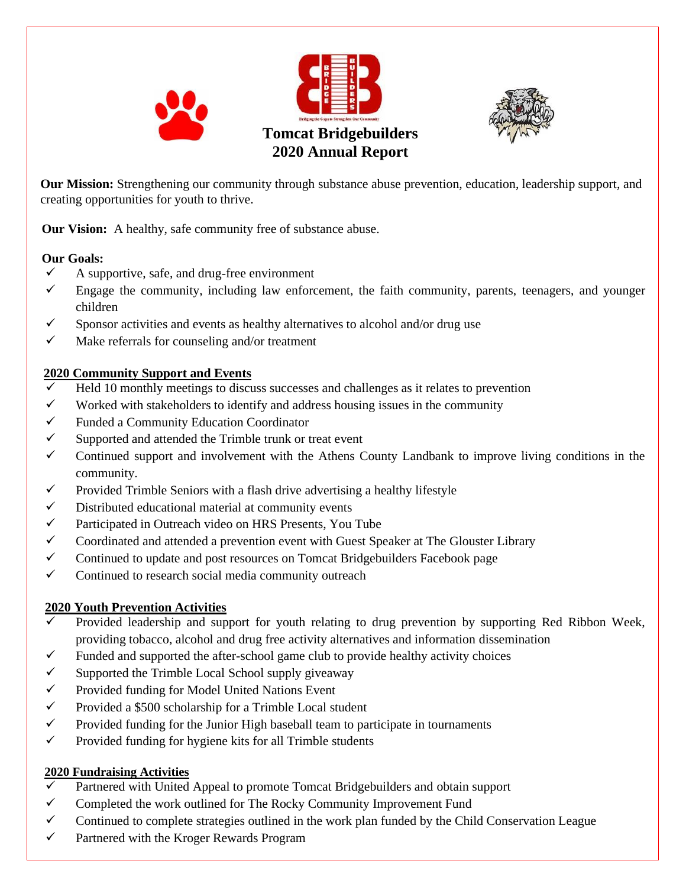



**Our Mission:** Strengthening our community through substance abuse prevention, education, leadership support, and creating opportunities for youth to thrive.

**Our Vision:** A healthy, safe community free of substance abuse.

#### **Our Goals:**

- $\checkmark$  A supportive, safe, and drug-free environment
- $\checkmark$  Engage the community, including law enforcement, the faith community, parents, teenagers, and younger children
- $\checkmark$  Sponsor activities and events as healthy alternatives to alcohol and/or drug use
- $\checkmark$  Make referrals for counseling and/or treatment

### **2020 Community Support and Events**

- Held 10 monthly meetings to discuss successes and challenges as it relates to prevention
- $\checkmark$  Worked with stakeholders to identify and address housing issues in the community
- ✓ Funded a Community Education Coordinator
- $\checkmark$  Supported and attended the Trimble trunk or treat event
- $\checkmark$  Continued support and involvement with the Athens County Landbank to improve living conditions in the community.
- $\checkmark$  Provided Trimble Seniors with a flash drive advertising a healthy lifestyle
- $\checkmark$  Distributed educational material at community events
- ✓ Participated in Outreach video on HRS Presents, You Tube
- ✓ Coordinated and attended a prevention event with Guest Speaker at The Glouster Library
- $\checkmark$  Continued to update and post resources on Tomcat Bridgebuilders Facebook page
- $\checkmark$  Continued to research social media community outreach

#### **2020 Youth Prevention Activities**

- Provided leadership and support for youth relating to drug prevention by supporting Red Ribbon Week, providing tobacco, alcohol and drug free activity alternatives and information dissemination
- $\checkmark$  Funded and supported the after-school game club to provide healthy activity choices
- $\checkmark$  Supported the Trimble Local School supply giveaway
- $\checkmark$  Provided funding for Model United Nations Event
- $\checkmark$  Provided a \$500 scholarship for a Trimble Local student
- $\checkmark$  Provided funding for the Junior High baseball team to participate in tournaments
- $\checkmark$  Provided funding for hygiene kits for all Trimble students

#### **2020 Fundraising Activities**

- Partnered with United Appeal to promote Tomcat Bridgebuilders and obtain support
- $\checkmark$  Completed the work outlined for The Rocky Community Improvement Fund
- ✓ Continued to complete strategies outlined in the work plan funded by the Child Conservation League
- $\checkmark$  Partnered with the Kroger Rewards Program